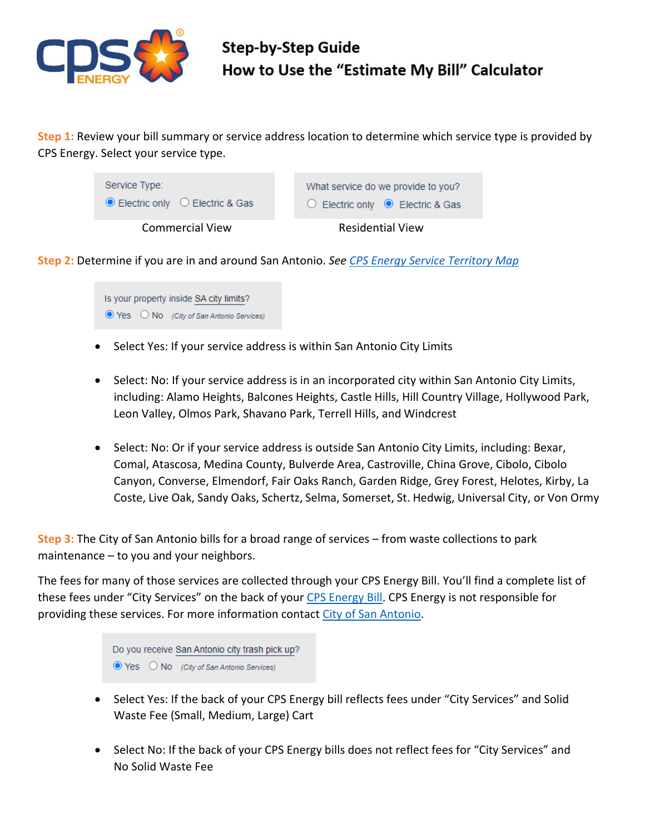

**Step 1:** Review your bill summary or service address location to determine which service type is provided by CPS Energy. Select your service type.

| Service Type:                                  | What service do we provide to you? |
|------------------------------------------------|------------------------------------|
| $\bullet$ Electric only $\circ$ Electric & Gas | ◯ Electric only ● Electric & Gas   |
| <b>Commercial View</b>                         | <b>Residential View</b>            |

**Step 2:** Determine if you are in and around San Antonio. *See [CPS Energy Service Territory Map](https://www.cpsenergy.com/content/dam/corporate/en/Documents/service_area_map_2011.pdf)*

Is your property inside SA city limits?  $\odot$  Yes  $\odot$  No (City of San Antonio Services)

- Select Yes: If your service address is within San Antonio City Limits
- Select: No: If your service address is in an incorporated city within San Antonio City Limits, including: Alamo Heights, Balcones Heights, Castle Hills, Hill Country Village, Hollywood Park, Leon Valley, Olmos Park, Shavano Park, Terrell Hills, and Windcrest
- Select: No: Or if your service address is outside San Antonio City Limits, including: Bexar, Comal, Atascosa, Medina County, Bulverde Area, Castroville, China Grove, Cibolo, Cibolo Canyon, Converse, Elmendorf, Fair Oaks Ranch, Garden Ridge, Grey Forest, Helotes, Kirby, La Coste, Live Oak, Sandy Oaks, Schertz, Selma, Somerset, St. Hedwig, Universal City, or Von Ormy

**Step 3:** The City of San Antonio bills for a broad range of services – from waste collections to park maintenance – to you and your neighbors.

The fees for many of those services are collected through your CPS Energy Bill. You'll find a complete list of these fees under "City Services" on the back of your [CPS Energy Bill.](https://www.cpsenergy.com/content/dam/corporate/en/Documents/Your_Bill.pdf) CPS Energy is not responsible for providing these services. For more information contact [City of San Antonio.](https://www.sanantonio.gov/swmd)

> Do you receive San Antonio city trash pick up?  $\bullet$  Yes  $\circ$  No (City of San Antonio Services)

- Select Yes: If the back of your CPS Energy bill reflects fees under "City Services" and Solid Waste Fee (Small, Medium, Large) Cart
- Select No: If the back of your CPS Energy bills does not reflect fees for "City Services" and No Solid Waste Fee